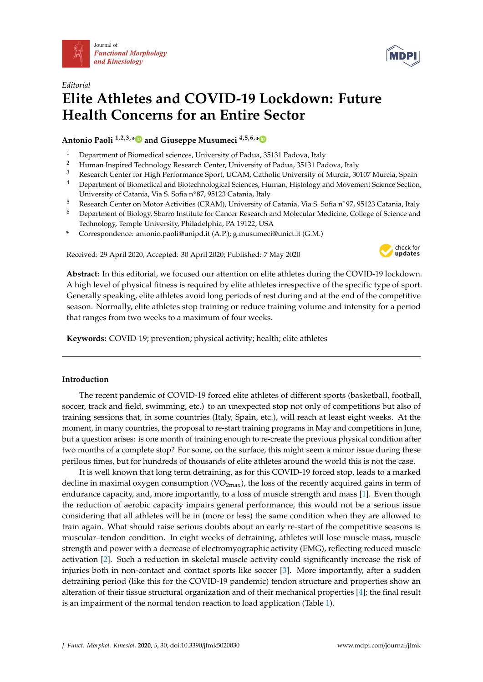



## *Editorial* **Elite Athletes and COVID-19 Lockdown: Future Health Concerns for an Entire Sector**

## **Antonio Paoli 1,2,3,[\\*](https://orcid.org/0000-0003-0474-4229) and Giuseppe Musumeci 4,5,6,[\\*](https://orcid.org/0000-0002-8260-8890)**

- <sup>1</sup> Department of Biomedical sciences, University of Padua, 35131 Padova, Italy<br><sup>2</sup> Human Inspired Technology Because Center University of Padua, <sup>25121</sup> Pas
- <sup>2</sup> Human Inspired Technology Research Center, University of Padua, 35131 Padova, Italy<br><sup>3</sup> Besearch Center for High Berformance Sport, UCAM, Cetholic University of Murcia, 20
- <sup>3</sup> Research Center for High Performance Sport, UCAM, Catholic University of Murcia, 30107 Murcia, Spain
- <sup>4</sup> Department of Biomedical and Biotechnological Sciences, Human, Histology and Movement Science Section, University of Catania, Via S. Sofia n◦87, 95123 Catania, Italy
- <sup>5</sup> Research Center on Motor Activities (CRAM), University of Catania, Via S. Sofia n◦97, 95123 Catania, Italy
- <sup>6</sup> Department of Biology, Sbarro Institute for Cancer Research and Molecular Medicine, College of Science and Technology, Temple University, Philadelphia, PA 19122, USA
- **\*** Correspondence: antonio.paoli@unipd.it (A.P.); g.musumeci@unict.it (G.M.)

Received: 29 April 2020; Accepted: 30 April 2020; Published: 7 May 2020



**Abstract:** In this editorial, we focused our attention on elite athletes during the COVID-19 lockdown. A high level of physical fitness is required by elite athletes irrespective of the specific type of sport. Generally speaking, elite athletes avoid long periods of rest during and at the end of the competitive season. Normally, elite athletes stop training or reduce training volume and intensity for a period that ranges from two weeks to a maximum of four weeks.

**Keywords:** COVID-19; prevention; physical activity; health; elite athletes

## **Introduction**

The recent pandemic of COVID-19 forced elite athletes of different sports (basketball, football, soccer, track and field, swimming, etc.) to an unexpected stop not only of competitions but also of training sessions that, in some countries (Italy, Spain, etc.), will reach at least eight weeks. At the moment, in many countries, the proposal to re-start training programs in May and competitions in June, but a question arises: is one month of training enough to re-create the previous physical condition after two months of a complete stop? For some, on the surface, this might seem a minor issue during these perilous times, but for hundreds of thousands of elite athletes around the world this is not the case.

It is well known that long term detraining, as for this COVID-19 forced stop, leads to a marked decline in maximal oxygen consumption  $(VO_{2max})$ , the loss of the recently acquired gains in term of endurance capacity, and, more importantly, to a loss of muscle strength and mass [\[1\]](#page-2-0). Even though the reduction of aerobic capacity impairs general performance, this would not be a serious issue considering that all athletes will be in (more or less) the same condition when they are allowed to train again. What should raise serious doubts about an early re-start of the competitive seasons is muscular–tendon condition. In eight weeks of detraining, athletes will lose muscle mass, muscle strength and power with a decrease of electromyographic activity (EMG), reflecting reduced muscle activation [\[2\]](#page-2-1). Such a reduction in skeletal muscle activity could significantly increase the risk of injuries both in non-contact and contact sports like soccer [\[3\]](#page-2-2). More importantly, after a sudden detraining period (like this for the COVID-19 pandemic) tendon structure and properties show an alteration of their tissue structural organization and of their mechanical properties [\[4\]](#page-2-3); the final result is an impairment of the normal tendon reaction to load application (Table [1\)](#page-1-0).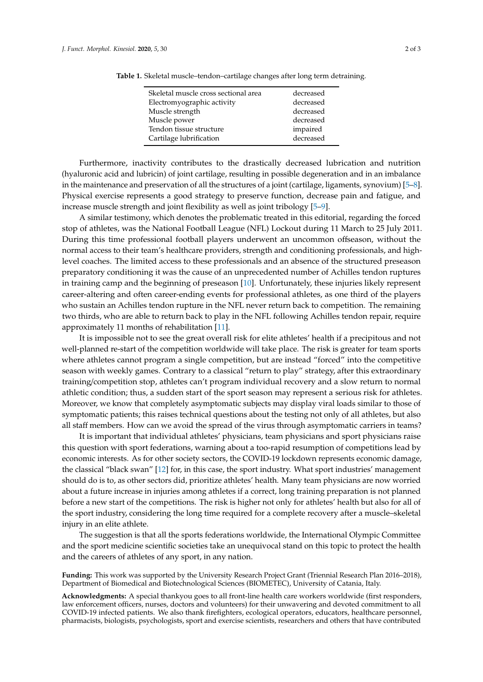| Skeletal muscle cross sectional area | decreased |
|--------------------------------------|-----------|
| Electromyographic activity           | decreased |
| Muscle strength                      | decreased |
| Muscle power                         | decreased |
| Tendon tissue structure              | impaired  |
| Cartilage lubrification              | decreased |
|                                      |           |

<span id="page-1-0"></span>**Table 1.** Skeletal muscle–tendon–cartilage changes after long term detraining.

Furthermore, inactivity contributes to the drastically decreased lubrication and nutrition (hyaluronic acid and lubricin) of joint cartilage, resulting in possible degeneration and in an imbalance in the maintenance and preservation of all the structures of a joint (cartilage, ligaments, synovium) [\[5–](#page-2-4)[8\]](#page-2-5). Physical exercise represents a good strategy to preserve function, decrease pain and fatigue, and increase muscle strength and joint flexibility as well as joint tribology [\[5](#page-2-4)[–9\]](#page-2-6).

A similar testimony, which denotes the problematic treated in this editorial, regarding the forced stop of athletes, was the National Football League (NFL) Lockout during 11 March to 25 July 2011. During this time professional football players underwent an uncommon offseason, without the normal access to their team's healthcare providers, strength and conditioning professionals, and highlevel coaches. The limited access to these professionals and an absence of the structured preseason preparatory conditioning it was the cause of an unprecedented number of Achilles tendon ruptures in training camp and the beginning of preseason [\[10\]](#page-2-7). Unfortunately, these injuries likely represent career-altering and often career-ending events for professional athletes, as one third of the players who sustain an Achilles tendon rupture in the NFL never return back to competition. The remaining two thirds, who are able to return back to play in the NFL following Achilles tendon repair, require approximately 11 months of rehabilitation [\[11\]](#page-2-8).

It is impossible not to see the great overall risk for elite athletes' health if a precipitous and not well-planned re-start of the competition worldwide will take place. The risk is greater for team sports where athletes cannot program a single competition, but are instead "forced" into the competitive season with weekly games. Contrary to a classical "return to play" strategy, after this extraordinary training/competition stop, athletes can't program individual recovery and a slow return to normal athletic condition; thus, a sudden start of the sport season may represent a serious risk for athletes. Moreover, we know that completely asymptomatic subjects may display viral loads similar to those of symptomatic patients; this raises technical questions about the testing not only of all athletes, but also all staff members. How can we avoid the spread of the virus through asymptomatic carriers in teams?

It is important that individual athletes' physicians, team physicians and sport physicians raise this question with sport federations, warning about a too-rapid resumption of competitions lead by economic interests. As for other society sectors, the COVID-19 lockdown represents economic damage, the classical "black swan" [\[12\]](#page-2-9) for, in this case, the sport industry. What sport industries' management should do is to, as other sectors did, prioritize athletes' health. Many team physicians are now worried about a future increase in injuries among athletes if a correct, long training preparation is not planned before a new start of the competitions. The risk is higher not only for athletes' health but also for all of the sport industry, considering the long time required for a complete recovery after a muscle–skeletal injury in an elite athlete.

The suggestion is that all the sports federations worldwide, the International Olympic Committee and the sport medicine scientific societies take an unequivocal stand on this topic to protect the health and the careers of athletes of any sport, in any nation.

**Funding:** This work was supported by the University Research Project Grant (Triennial Research Plan 2016–2018), Department of Biomedical and Biotechnological Sciences (BIOMETEC), University of Catania, Italy.

**Acknowledgments:** A special thankyou goes to all front-line health care workers worldwide (first responders, law enforcement officers, nurses, doctors and volunteers) for their unwavering and devoted commitment to all COVID-19 infected patients. We also thank firefighters, ecological operators, educators, healthcare personnel, pharmacists, biologists, psychologists, sport and exercise scientists, researchers and others that have contributed